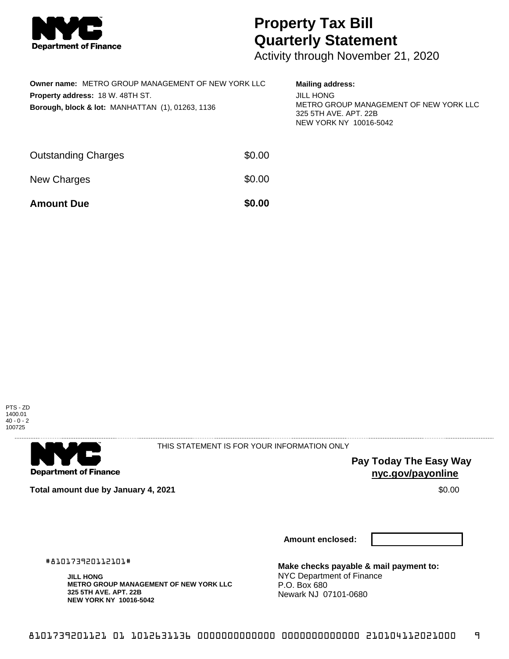

## **Property Tax Bill Quarterly Statement**

Activity through November 21, 2020

| <b>Owner name: METRO GROUP MANAGEMENT OF NEW YORK LLC</b><br>Property address: 18 W. 48TH ST.<br>Borough, block & lot: MANHATTAN (1), 01263, 1136 |        | <b>Mailing address:</b><br><b>JILL HONG</b><br>METRO GROUP MANAGEMENT OF NEW YORK LLC<br>325 5TH AVE, APT, 22B<br>NEW YORK NY 10016-5042 |
|---------------------------------------------------------------------------------------------------------------------------------------------------|--------|------------------------------------------------------------------------------------------------------------------------------------------|
| <b>Outstanding Charges</b>                                                                                                                        | \$0.00 |                                                                                                                                          |
| New Charges                                                                                                                                       | \$0.00 |                                                                                                                                          |
| <b>Amount Due</b>                                                                                                                                 | \$0.00 |                                                                                                                                          |





THIS STATEMENT IS FOR YOUR INFORMATION ONLY

**Pay Today The Easy Way nyc.gov/payonline**

**Total amount due by January 4, 2021 \$0.00** \$0.00

**Amount enclosed:**

#810173920112101#

**JILL HONG METRO GROUP MANAGEMENT OF NEW YORK LLC 325 5TH AVE. APT. 22B NEW YORK NY 10016-5042**

**Make checks payable & mail payment to:** NYC Department of Finance P.O. Box 680 Newark NJ 07101-0680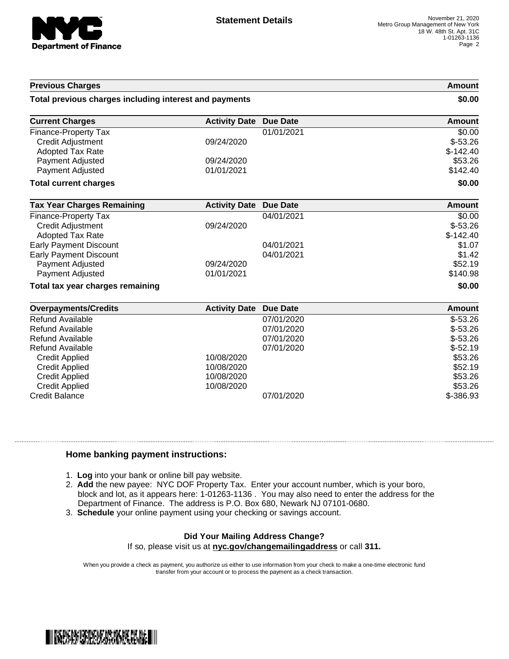

| <b>Previous Charges</b>                                |                      | Amount<br>\$0.00 |               |
|--------------------------------------------------------|----------------------|------------------|---------------|
| Total previous charges including interest and payments |                      |                  |               |
| <b>Current Charges</b>                                 | <b>Activity Date</b> | <b>Due Date</b>  | <b>Amount</b> |
| Finance-Property Tax                                   |                      | 01/01/2021       | \$0.00        |
| <b>Credit Adjustment</b>                               | 09/24/2020           |                  | $$-53.26$     |
| <b>Adopted Tax Rate</b>                                |                      |                  | $$-142.40$    |
| <b>Payment Adjusted</b>                                | 09/24/2020           |                  | \$53.26       |
| <b>Payment Adjusted</b>                                | 01/01/2021           |                  | \$142.40      |
| <b>Total current charges</b>                           |                      |                  | \$0.00        |
| <b>Tax Year Charges Remaining</b>                      | <b>Activity Date</b> | <b>Due Date</b>  | Amount        |
| Finance-Property Tax                                   |                      | 04/01/2021       | \$0.00        |
| <b>Credit Adjustment</b>                               | 09/24/2020           |                  | $$-53.26$     |
| <b>Adopted Tax Rate</b>                                |                      |                  | $$-142.40$    |
| <b>Early Payment Discount</b>                          |                      | 04/01/2021       | \$1.07        |
| <b>Early Payment Discount</b>                          |                      | 04/01/2021       | \$1.42        |
| <b>Payment Adjusted</b>                                | 09/24/2020           |                  | \$52.19       |
| <b>Payment Adjusted</b>                                | 01/01/2021           |                  | \$140.98      |
| Total tax year charges remaining                       |                      |                  | \$0.00        |
| <b>Overpayments/Credits</b>                            | <b>Activity Date</b> | <b>Due Date</b>  | Amount        |
| <b>Refund Available</b>                                |                      | 07/01/2020       | $$-53.26$     |
| <b>Refund Available</b>                                |                      | 07/01/2020       | $$-53.26$     |
| <b>Refund Available</b>                                |                      | 07/01/2020       | $$-53.26$     |
| <b>Refund Available</b>                                |                      | 07/01/2020       | $$-52.19$     |
| <b>Credit Applied</b>                                  | 10/08/2020           |                  | \$53.26       |
| <b>Credit Applied</b>                                  | 10/08/2020           |                  | \$52.19       |
| <b>Credit Applied</b>                                  | 10/08/2020           |                  | \$53.26       |
| <b>Credit Applied</b>                                  | 10/08/2020           |                  | \$53.26       |

## **Home banking payment instructions:**

- 1. **Log** into your bank or online bill pay website.
- 2. **Add** the new payee: NYC DOF Property Tax. Enter your account number, which is your boro, block and lot, as it appears here: 1-01263-1136 . You may also need to enter the address for the Department of Finance. The address is P.O. Box 680, Newark NJ 07101-0680.

Credit Balance 07/01/2020 \$-386.93

3. **Schedule** your online payment using your checking or savings account.

## **Did Your Mailing Address Change?**

If so, please visit us at **nyc.gov/changemailingaddress** or call **311.**

When you provide a check as payment, you authorize us either to use information from your check to make a one-time electronic fund transfer from your account or to process the payment as a check transaction.